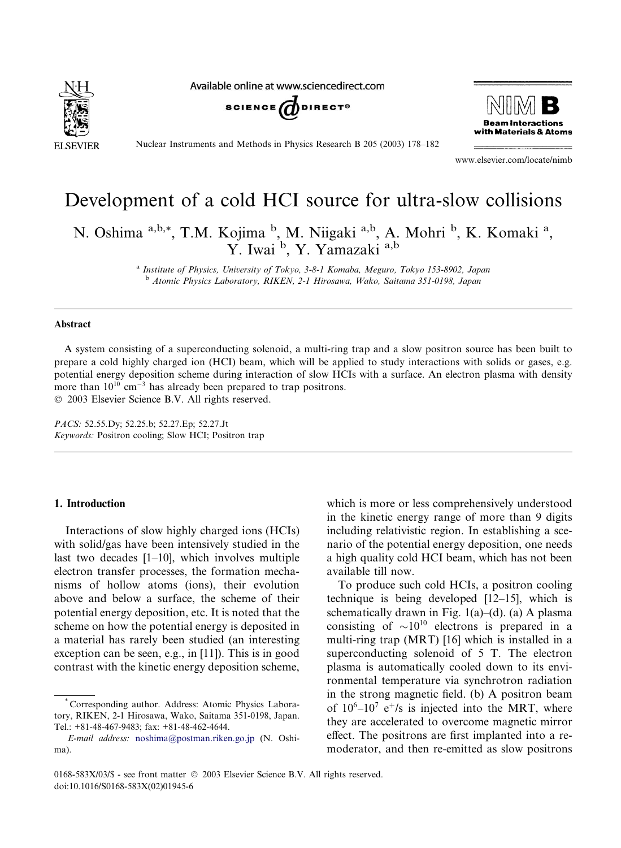

Available online at www.sciencedirect.com





Nuclear Instruments and Methods in Physics Research B 205 (2003) 178–182

www.elsevier.com/locate/nimb

# Development of a cold HCI source for ultra-slow collisions

N. Oshima <sup>a,b,\*</sup>, T.M. Kojima <sup>b</sup>, M. Niigaki <sup>a,b</sup>, A. Mohri <sup>b</sup>, K. Komaki <sup>a</sup>, Y. Iwai<sup>b</sup>, Y. Yamazaki<sup>a,b</sup>

> <sup>a</sup> Institute of Physics, University of Tokyo, 3-8-1 Komaba, Meguro, Tokyo 153-8902, Japan <sup>b</sup> Atomic Physics Laboratory, RIKEN, 2-1 Hirosawa, Wako, Saitama 351-0198, Japan

#### Abstract

A system consisting of a superconducting solenoid, a multi-ring trap and a slow positron source has been built to prepare a cold highly charged ion (HCI) beam, which will be applied to study interactions with solids or gases, e.g. potential energy deposition scheme during interaction of slow HCIs with a surface. An electron plasma with density more than  $10^{10}$  cm<sup>-3</sup> has already been prepared to trap positrons. 2003 Elsevier Science B.V. All rights reserved.

PACS: 52.55.Dy; 52.25.b; 52.27.Ep; 52.27.Jt Keywords: Positron cooling; Slow HCI; Positron trap

## 1. Introduction

Interactions of slow highly charged ions (HCIs) with solid/gas have been intensively studied in the last two decades [1–10], which involves multiple electron transfer processes, the formation mechanisms of hollow atoms (ions), their evolution above and below a surface, the scheme of their potential energy deposition, etc. It is noted that the scheme on how the potential energy is deposited in a material has rarely been studied (an interesting exception can be seen, e.g., in [11]). This is in good contrast with the kinetic energy deposition scheme, which is more or less comprehensively understood in the kinetic energy range of more than 9 digits including relativistic region. In establishing a scenario of the potential energy deposition, one needs a high quality cold HCI beam, which has not been available till now.

To produce such cold HCIs, a positron cooling technique is being developed [12–15], which is schematically drawn in Fig.  $1(a)$ –(d). (a) A plasma consisting of  $\sim 10^{10}$  electrons is prepared in a multi-ring trap (MRT) [16] which is installed in a superconducting solenoid of 5 T. The electron plasma is automatically cooled down to its environmental temperature via synchrotron radiation in the strong magnetic field. (b) A positron beam of  $10^6$ – $10^7$  e<sup>+</sup>/s is injected into the MRT, where they are accelerated to overcome magnetic mirror effect. The positrons are first implanted into a remoderator, and then re-emitted as slow positrons

<sup>\*</sup> Corresponding author. Address: Atomic Physics Laboratory, RIKEN, 2-1 Hirosawa, Wako, Saitama 351-0198, Japan. Tel.: +81-48-467-9483; fax: +81-48-462-4644.

E-mail address: [noshima@postman.riken.go.jp](mail to: noshima@postman.riken.go.jp) (N. Oshima).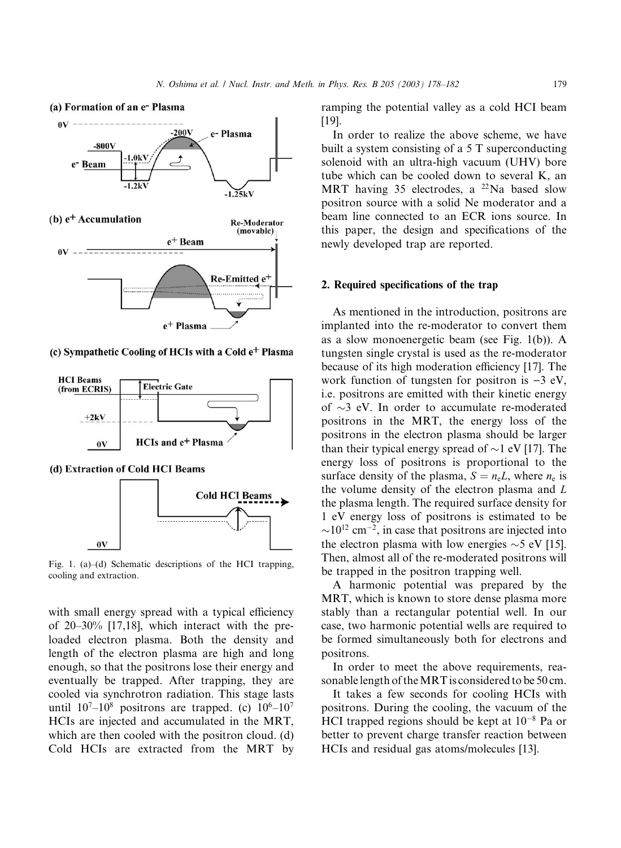

(c) Sympathetic Cooling of HCIs with a Cold e<sup>+</sup> Plasma



(d) Extraction of Cold HCI Beams



Fig. 1. (a)–(d) Schematic descriptions of the HCI trapping, cooling and extraction.

with small energy spread with a typical efficiency of 20–30% [17,18], which interact with the preloaded electron plasma. Both the density and length of the electron plasma are high and long enough, so that the positrons lose their energy and eventually be trapped. After trapping, they are cooled via synchrotron radiation. This stage lasts until  $10^7-10^8$  positrons are trapped. (c)  $10^6-10^7$ HCIs are injected and accumulated in the MRT, which are then cooled with the positron cloud. (d) Cold HCIs are extracted from the MRT by

ramping the potential valley as a cold HCI beam [19].

In order to realize the above scheme, we have built a system consisting of a 5 T superconducting solenoid with an ultra-high vacuum (UHV) bore tube which can be cooled down to several K, an MRT having 35 electrodes, a  $^{22}$ Na based slow positron source with a solid Ne moderator and a beam line connected to an ECR ions source. In this paper, the design and specifications of the newly developed trap are reported.

## 2. Required specifications of the trap

As mentioned in the introduction, positrons are implanted into the re-moderator to convert them as a slow monoenergetic beam (see Fig. 1(b)). A tungsten single crystal is used as the re-moderator because of its high moderation efficiency [17]. The work function of tungsten for positron is  $-3$  eV, i.e. positrons are emitted with their kinetic energy of  $\sim$ 3 eV. In order to accumulate re-moderated positrons in the MRT, the energy loss of the positrons in the electron plasma should be larger than their typical energy spread of  $\sim$ 1 eV [17]. The energy loss of positrons is proportional to the surface density of the plasma,  $S = n_eL$ , where  $n_e$  is the volume density of the electron plasma and L the plasma length. The required surface density for 1 eV energy loss of positrons is estimated to be  $\sim$ 10<sup>12</sup> cm<sup>-2</sup>, in case that positrons are injected into the electron plasma with low energies  $\sim$  5 eV [15]. Then, almost all of the re-moderated positrons will be trapped in the positron trapping well.

A harmonic potential was prepared by the MRT, which is known to store dense plasma more stably than a rectangular potential well. In our case, two harmonic potential wells are required to be formed simultaneously both for electrons and positrons.

In order to meet the above requirements, reasonable length of theMRT is considered to be 50 cm.

It takes a few seconds for cooling HCIs with positrons. During the cooling, the vacuum of the HCI trapped regions should be kept at  $10^{-8}$  Pa or better to prevent charge transfer reaction between HCIs and residual gas atoms/molecules [13].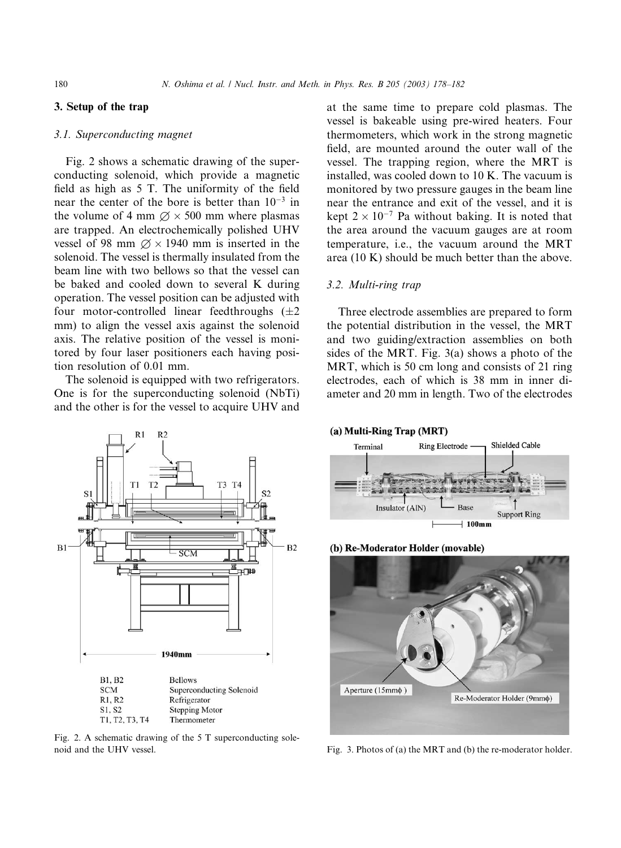## 3. Setup of the trap

## 3.1. Superconducting magnet

Fig. 2 shows a schematic drawing of the superconducting solenoid, which provide a magnetic field as high as 5 T. The uniformity of the field near the center of the bore is better than  $10^{-3}$  in the volume of 4 mm  $\varnothing \times 500$  mm where plasmas are trapped. An electrochemically polished UHV vessel of 98 mm  $\varnothing \times 1940$  mm is inserted in the solenoid. The vessel is thermally insulated from the beam line with two bellows so that the vessel can be baked and cooled down to several K during operation. The vessel position can be adjusted with four motor-controlled linear feedthroughs  $(\pm 2)$ mm) to align the vessel axis against the solenoid axis. The relative position of the vessel is monitored by four laser positioners each having position resolution of 0.01 mm.

The solenoid is equipped with two refrigerators. One is for the superconducting solenoid (NbTi) and the other is for the vessel to acquire UHV and



Fig. 2. A schematic drawing of the 5 T superconducting solenoid and the UHV vessel. The result of the MRT and (b) the re-moderator holder.

at the same time to prepare cold plasmas. The vessel is bakeable using pre-wired heaters. Four thermometers, which work in the strong magnetic field, are mounted around the outer wall of the vessel. The trapping region, where the MRT is installed, was cooled down to 10 K. The vacuum is monitored by two pressure gauges in the beam line near the entrance and exit of the vessel, and it is kept  $2 \times 10^{-7}$  Pa without baking. It is noted that the area around the vacuum gauges are at room temperature, i.e., the vacuum around the MRT area (10 K) should be much better than the above.

## 3.2. Multi-ring trap

Three electrode assemblies are prepared to form the potential distribution in the vessel, the MRT and two guiding/extraction assemblies on both sides of the MRT. Fig. 3(a) shows a photo of the MRT, which is 50 cm long and consists of 21 ring electrodes, each of which is 38 mm in inner diameter and 20 mm in length. Two of the electrodes



(b) Re-Moderator Holder (movable)

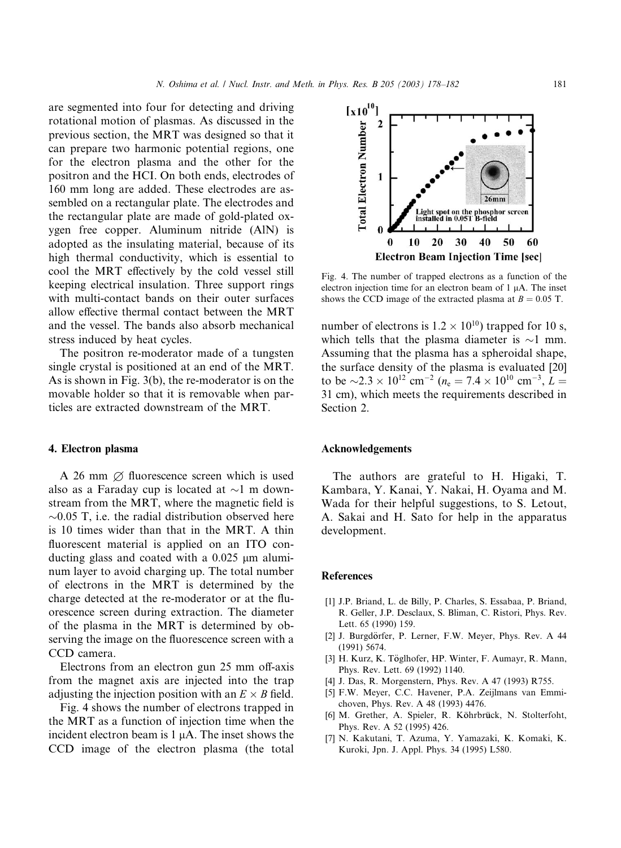are segmented into four for detecting and driving rotational motion of plasmas. As discussed in the previous section, the MRT was designed so that it can prepare two harmonic potential regions, one for the electron plasma and the other for the positron and the HCI. On both ends, electrodes of 160 mm long are added. These electrodes are assembled on a rectangular plate. The electrodes and the rectangular plate are made of gold-plated oxygen free copper. Aluminum nitride (AlN) is adopted as the insulating material, because of its high thermal conductivity, which is essential to cool the MRT effectively by the cold vessel still keeping electrical insulation. Three support rings with multi-contact bands on their outer surfaces allow effective thermal contact between the MRT and the vessel. The bands also absorb mechanical stress induced by heat cycles.

The positron re-moderator made of a tungsten single crystal is positioned at an end of the MRT. As is shown in Fig. 3(b), the re-moderator is on the movable holder so that it is removable when particles are extracted downstream of the MRT.

## 4. Electron plasma

A 26 mm  $\varnothing$  fluorescence screen which is used also as a Faraday cup is located at  $\sim$ 1 m downstream from the MRT, where the magnetic field is  $\sim$ 0.05 T, i.e. the radial distribution observed here is 10 times wider than that in the MRT. A thin fluorescent material is applied on an ITO conducting glass and coated with a  $0.025 \mu m$  aluminum layer to avoid charging up. The total number of electrons in the MRT is determined by the charge detected at the re-moderator or at the fluorescence screen during extraction. The diameter of the plasma in the MRT is determined by observing the image on the fluorescence screen with a CCD camera.

Electrons from an electron gun 25 mm off-axis from the magnet axis are injected into the trap adjusting the injection position with an  $E \times B$  field.

Fig. 4 shows the number of electrons trapped in the MRT as a function of injection time when the incident electron beam is 1 uA. The inset shows the CCD image of the electron plasma (the total



Fig. 4. The number of trapped electrons as a function of the electron injection time for an electron beam of  $1 \mu A$ . The inset shows the CCD image of the extracted plasma at  $B = 0.05$  T.

number of electrons is  $1.2 \times 10^{10}$ ) trapped for 10 s, which tells that the plasma diameter is  $\sim$ 1 mm. Assuming that the plasma has a spheroidal shape, the surface density of the plasma is evaluated [20] to be  $\sim$ 2.3  $\times$  10<sup>12</sup> cm<sup>-2</sup> (n<sub>e</sub> = 7.4  $\times$  10<sup>10</sup> cm<sup>-3</sup>, L = 31 cm), which meets the requirements described in Section 2.

#### Acknowledgements

The authors are grateful to H. Higaki, T. Kambara, Y. Kanai, Y. Nakai, H. Oyama and M. Wada for their helpful suggestions, to S. Letout, A. Sakai and H. Sato for help in the apparatus development.

#### References

- [1] J.P. Briand, L. de Billy, P. Charles, S. Essabaa, P. Briand, R. Geller, J.P. Desclaux, S. Bliman, C. Ristori, Phys. Rev. Lett. 65 (1990) 159.
- [2] J. Burgdörfer, P. Lerner, F.W. Meyer, Phys. Rev. A 44 (1991) 5674.
- [3] H. Kurz, K. Töglhofer, HP. Winter, F. Aumayr, R. Mann, Phys. Rev. Lett. 69 (1992) 1140.
- [4] J. Das, R. Morgenstern, Phys. Rev. A 47 (1993) R755.
- [5] F.W. Meyer, C.C. Havener, P.A. Zeijlmans van Emmichoven, Phys. Rev. A 48 (1993) 4476.
- [6] M. Grether, A. Spieler, R. Köhrbrück, N. Stolterfoht, Phys. Rev. A 52 (1995) 426.
- [7] N. Kakutani, T. Azuma, Y. Yamazaki, K. Komaki, K. Kuroki, Jpn. J. Appl. Phys. 34 (1995) L580.